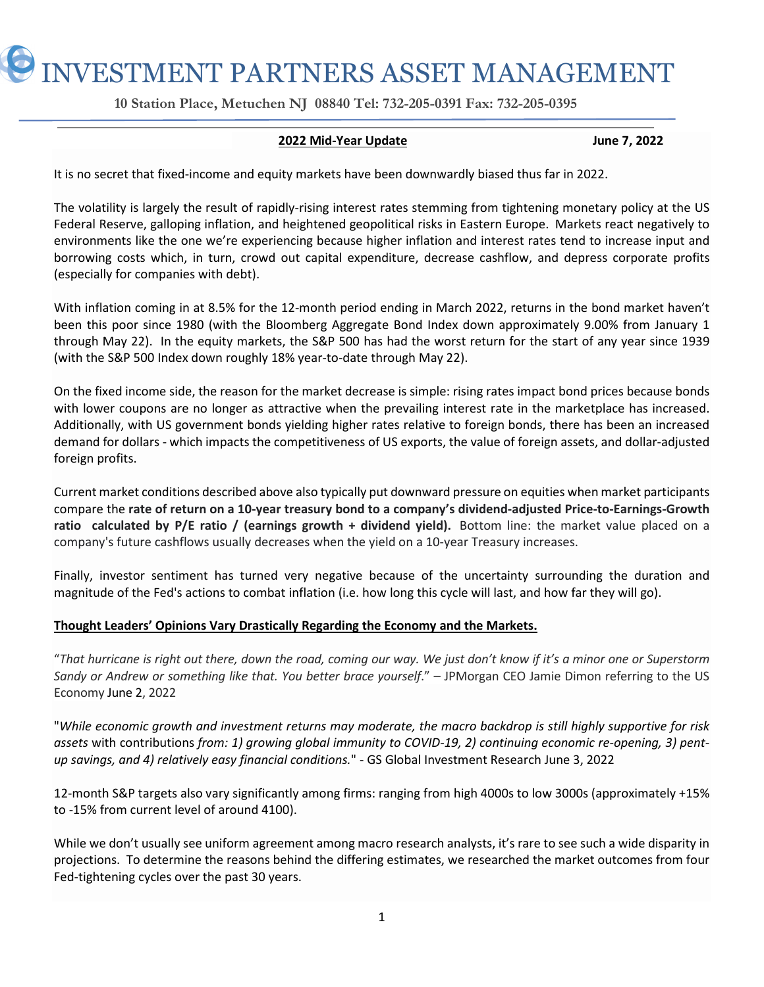INVESTMENT PARTNERS ASSET MANAGEMENT

 **10 Station Place, Metuchen NJ 08840 Tel: 732-205-0391 Fax: 732-205-0395** 

# **2022 Mid-Year Update June 7, 2022**

It is no secret that fixed-income and equity markets have been downwardly biased thus far in 2022.

The volatility is largely the result of rapidly-rising interest rates stemming from tightening monetary policy at the US Federal Reserve, galloping inflation, and heightened geopolitical risks in Eastern Europe. Markets react negatively to environments like the one we're experiencing because higher inflation and interest rates tend to increase input and borrowing costs which, in turn, crowd out capital expenditure, decrease cashflow, and depress corporate profits (especially for companies with debt).

With inflation coming in at 8.5% for the 12-month period ending in March 2022, returns in the bond market haven't been this poor since 1980 (with the Bloomberg Aggregate Bond Index down approximately 9.00% from January 1 through May 22). In the equity markets, the S&P 500 has had the worst return for the start of any year since 1939 (with the S&P 500 Index down roughly 18% year-to-date through May 22).

On the fixed income side, the reason for the market decrease is simple: rising rates impact bond prices because bonds with lower coupons are no longer as attractive when the prevailing interest rate in the marketplace has increased. Additionally, with US government bonds yielding higher rates relative to foreign bonds, there has been an increased demand for dollars - which impacts the competitiveness of US exports, the value of foreign assets, and dollar-adjusted foreign profits.

Current market conditions described above also typically put downward pressure on equities when market participants compare the **rate of return on a 10-year treasury bond to a company's dividend-adjusted Price-to-Earnings-Growth ratio calculated by P/E ratio / (earnings growth + dividend yield).** Bottom line: the market value placed on a company's future cashflows usually decreases when the yield on a 10-year Treasury increases.

Finally, investor sentiment has turned very negative because of the uncertainty surrounding the duration and magnitude of the Fed's actions to combat inflation (i.e. how long this cycle will last, and how far they will go).

## **Thought Leaders' Opinions Vary Drastically Regarding the Economy and the Markets.**

"*That hurricane is right out there, down the road, coming our way. We just don't know if it's a minor one or Superstorm Sandy or Andrew or something like that. You better brace yourself*." – JPMorgan CEO Jamie Dimon referring to the US Economy June 2, 2022

"*While economic growth and investment returns may moderate, the macro backdrop is still highly supportive for risk assets* with contributions *from: 1) growing global immunity to COVID-19, 2) continuing economic re-opening, 3) pentup savings, and 4) relatively easy financial conditions.*" - GS Global Investment Research June 3, 2022

12-month S&P targets also vary significantly among firms: ranging from high 4000s to low 3000s (approximately +15% to -15% from current level of around 4100).

While we don't usually see uniform agreement among macro research analysts, it's rare to see such a wide disparity in projections. To determine the reasons behind the differing estimates, we researched the market outcomes from four Fed-tightening cycles over the past 30 years.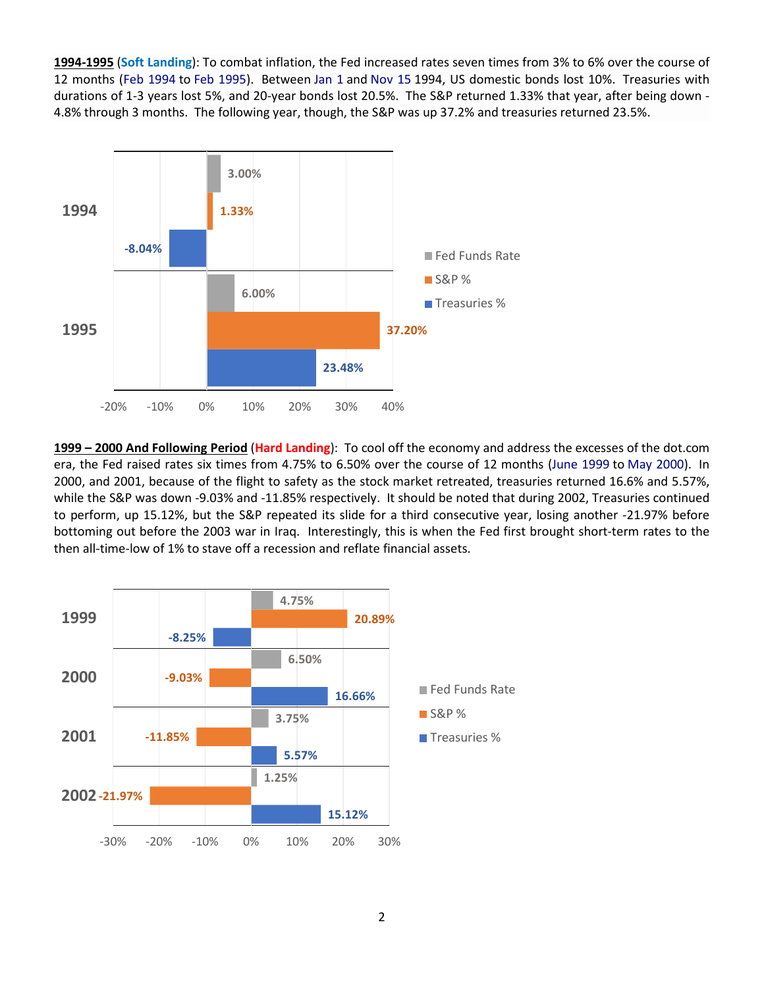**1994-1995** (**Soft Landing**): To combat inflation, the Fed increased rates seven times from 3% to 6% over the course of 12 months (Feb 1994 to Feb 1995). Between Jan 1 and Nov 15 1994, US domestic bonds lost 10%. Treasuries with durations of 1-3 years lost 5%, and 20-year bonds lost 20.5%. The S&P returned 1.33% that year, after being down - 4.8% through 3 months. The following year, though, the S&P was up 37.2% and treasuries returned 23.5%.



**1999 – 2000 And Following Period** (**Hard Landing**): To cool off the economy and address the excesses of the dot.com era, the Fed raised rates six times from 4.75% to 6.50% over the course of 12 months (June 1999 to May 2000). In 2000, and 2001, because of the flight to safety as the stock market retreated, treasuries returned 16.6% and 5.57%, while the S&P was down -9.03% and -11.85% respectively. It should be noted that during 2002, Treasuries continued to perform, up 15.12%, but the S&P repeated its slide for a third consecutive year, losing another -21.97% before bottoming out before the 2003 war in Iraq. Interestingly, this is when the Fed first brought short-term rates to the then all-time-low of 1% to stave off a recession and reflate financial assets.

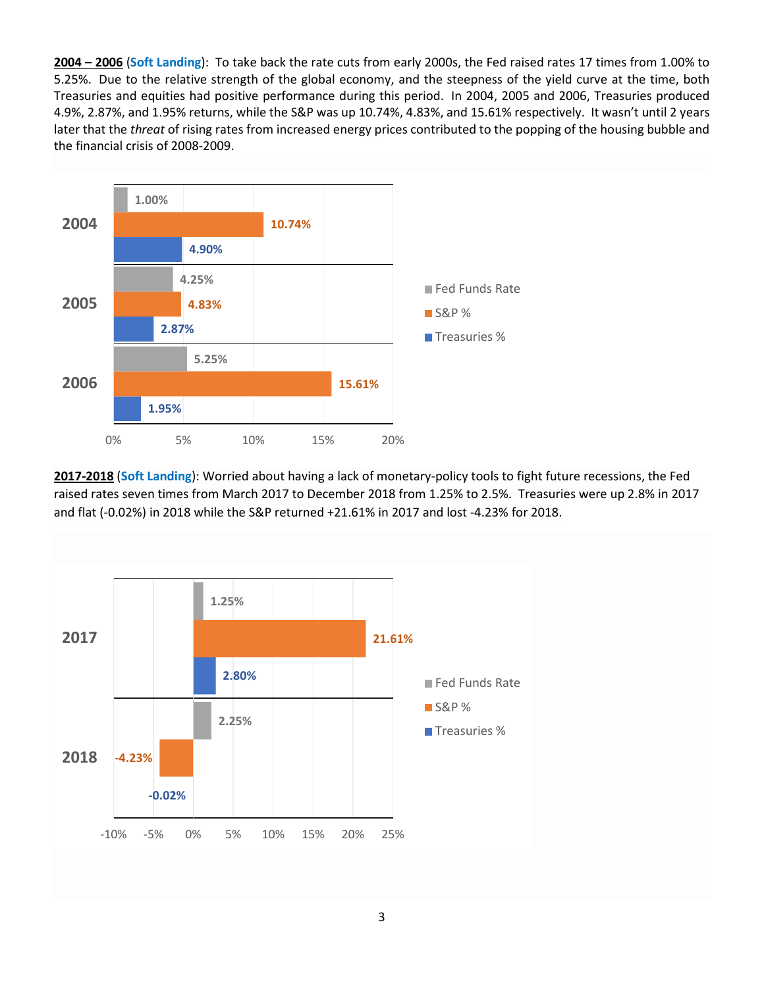**2004 – 2006** (**Soft Landing**): To take back the rate cuts from early 2000s, the Fed raised rates 17 times from 1.00% to 5.25%. Due to the relative strength of the global economy, and the steepness of the yield curve at the time, both Treasuries and equities had positive performance during this period. In 2004, 2005 and 2006, Treasuries produced 4.9%, 2.87%, and 1.95% returns, while the S&P was up 10.74%, 4.83%, and 15.61% respectively. It wasn't until 2 years later that the *threat* of rising rates from increased energy prices contributed to the popping of the housing bubble and the financial crisis of 2008-2009.



**2017-2018** (**Soft Landing**): Worried about having a lack of monetary-policy tools to fight future recessions, the Fed raised rates seven times from March 2017 to December 2018 from 1.25% to 2.5%. Treasuries were up 2.8% in 2017 and flat (-0.02%) in 2018 while the S&P returned +21.61% in 2017 and lost -4.23% for 2018.

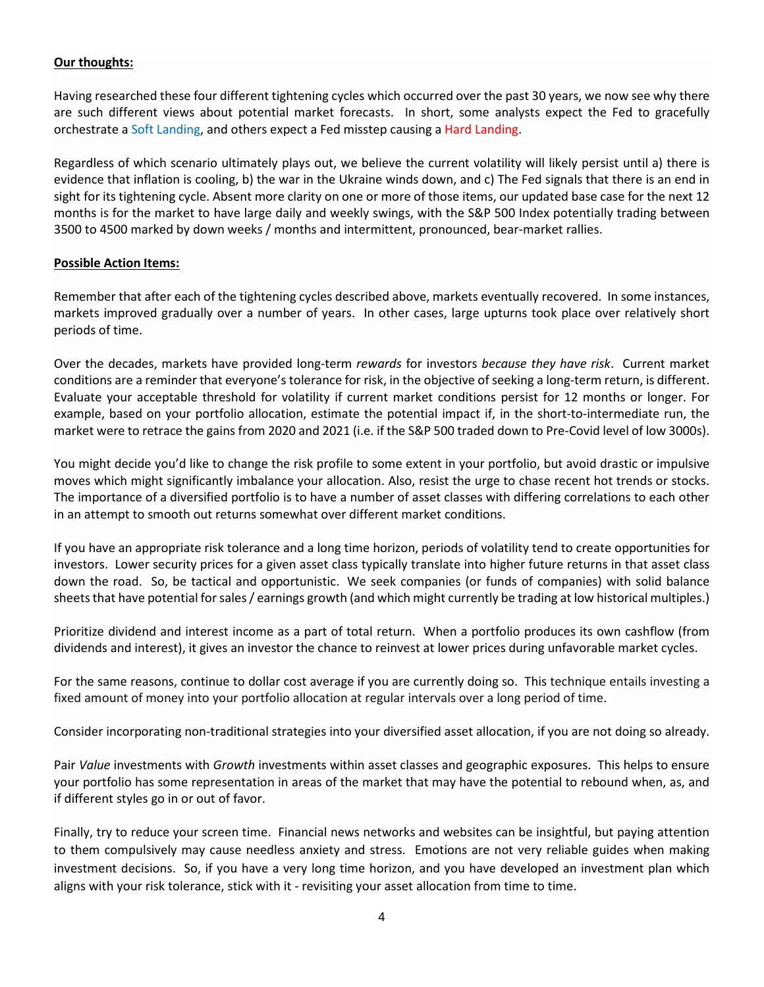## **Our thoughts:**

Having researched these four different tightening cycles which occurred over the past 30 years, we now see why there are such different views about potential market forecasts. In short, some analysts expect the Fed to gracefully orchestrate a Soft Landing, and others expect a Fed misstep causing a Hard Landing.

Regardless of which scenario ultimately plays out, we believe the current volatility will likely persist until a) there is evidence that inflation is cooling, b) the war in the Ukraine winds down, and c) The Fed signals that there is an end in sight for its tightening cycle. Absent more clarity on one or more of those items, our updated base case for the next 12 months is for the market to have large daily and weekly swings, with the S&P 500 Index potentially trading between 3500 to 4500 marked by down weeks / months and intermittent, pronounced, bear-market rallies.

### **Possible Action Items:**

Remember that after each of the tightening cycles described above, markets eventually recovered. In some instances, markets improved gradually over a number of years. In other cases, large upturns took place over relatively short periods of time.

Over the decades, markets have provided long-term *rewards* for investors *because they have risk*. Current market conditions are a reminder that everyone's tolerance for risk, in the objective of seeking a long-term return, is different. Evaluate your acceptable threshold for volatility if current market conditions persist for 12 months or longer. For example, based on your portfolio allocation, estimate the potential impact if, in the short-to-intermediate run, the market were to retrace the gains from 2020 and 2021 (i.e. if the S&P 500 traded down to Pre-Covid level of low 3000s).

You might decide you'd like to change the risk profile to some extent in your portfolio, but avoid drastic or impulsive moves which might significantly imbalance your allocation. Also, resist the urge to chase recent hot trends or stocks. The importance of a diversified portfolio is to have a number of asset classes with differing correlations to each other in an attempt to smooth out returns somewhat over different market conditions.

If you have an appropriate risk tolerance and a long time horizon, periods of volatility tend to create opportunities for investors. Lower security prices for a given asset class typically translate into higher future returns in that asset class down the road. So, be tactical and opportunistic. We seek companies (or funds of companies) with solid balance sheets that have potential for sales / earnings growth (and which might currently be trading at low historical multiples.)

Prioritize dividend and interest income as a part of total return. When a portfolio produces its own cashflow (from dividends and interest), it gives an investor the chance to reinvest at lower prices during unfavorable market cycles.

For the same reasons, continue to dollar cost average if you are currently doing so. This technique entails investing a fixed amount of money into your portfolio allocation at regular intervals over a long period of time.

Consider incorporating non-traditional strategies into your diversified asset allocation, if you are not doing so already.

Pair *Value* investments with *Growth* investments within asset classes and geographic exposures. This helps to ensure your portfolio has some representation in areas of the market that may have the potential to rebound when, as, and if different styles go in or out of favor.

Finally, try to reduce your screen time. Financial news networks and websites can be insightful, but paying attention to them compulsively may cause needless anxiety and stress. Emotions are not very reliable guides when making investment decisions. So, if you have a very long time horizon, and you have developed an investment plan which aligns with your risk tolerance, stick with it - revisiting your asset allocation from time to time.